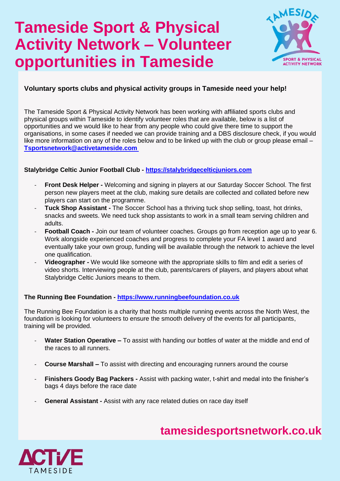# **Tameside Sport & Physical Activity Network – Volunteer opportunities in Tameside**



### **Voluntary sports clubs and physical activity groups in Tameside need your help!**

The Tameside Sport & Physical Activity Network has been working with affiliated sports clubs and physical groups within Tameside to identify volunteer roles that are available, below is a list of opportunities and we would like to hear from any people who could give there time to support the organisations, in some cases if needed we can provide training and a DBS disclosure check, if you would like more information on any of the roles below and to be linked up with the club or group please email – **[Tsportsnetwork@activetameside.com](mailto:Tsportsnetwork@activetameside.com)**

### **Stalybridge Celtic Junior Football Club - [https://stalybridgecelticjuniors.com](https://stalybridgecelticjuniors.com/)**

- **Front Desk Helper -** Welcoming and signing in players at our Saturday Soccer School. The first person new players meet at the club, making sure details are collected and collated before new players can start on the programme.
- **Tuck Shop Assistant -** The Soccer School has a thriving tuck shop selling, toast, hot drinks, snacks and sweets. We need tuck shop assistants to work in a small team serving children and adults.
- **Football Coach -** Join our team of volunteer coaches. Groups go from reception age up to year 6. Work alongside experienced coaches and progress to complete your FA level 1 award and eventually take your own group, funding will be available through the network to achieve the level one qualification.
- **Videographer -** We would like someone with the appropriate skills to film and edit a series of video shorts. Interviewing people at the club, parents/carers of players, and players about what Stalybridge Celtic Juniors means to them.

### **The Running Bee Foundation - [https://www.runningbeefoundation.co.uk](https://www.runningbeefoundation.co.uk/)**

The Running Bee Foundation is a charity that hosts multiple running events across the North West, the foundation is looking for volunteers to ensure the smooth delivery of the events for all participants, training will be provided.

- Water Station Operative To assist with handing our bottles of water at the middle and end of the races to all runners.
- **Course Marshall –** To assist with directing and encouraging runners around the course
- **Finishers Goody Bag Packers -** Assist with packing water, t-shirt and medal into the finisher's bags 4 days before the race date
- **General Assistant -** Assist with any race related duties on race day itself



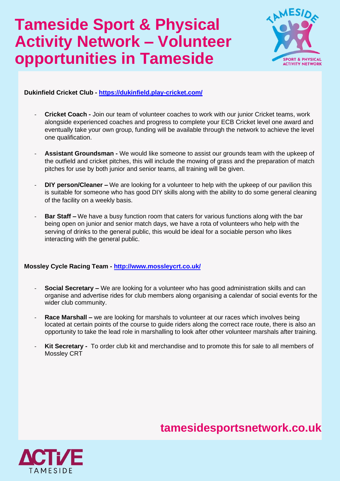# **Tameside Sport & Physical Activity Network – Volunteer opportunities in Tameside**



**Dukinfield Cricket Club - <https://dukinfield.play-cricket.com/>**

- **Cricket Coach -** Join our team of volunteer coaches to work with our junior Cricket teams, work alongside experienced coaches and progress to complete your ECB Cricket level one award and eventually take your own group, funding will be available through the network to achieve the level one qualification.
- **Assistant Groundsman -** We would like someone to assist our grounds team with the upkeep of the outfield and cricket pitches, this will include the mowing of grass and the preparation of match pitches for use by both junior and senior teams, all training will be given.
- **DIY person/Cleaner –** We are looking for a volunteer to help with the upkeep of our pavilion this is suitable for someone who has good DIY skills along with the ability to do some general cleaning of the facility on a weekly basis.
- **Bar Staff –** We have a busy function room that caters for various functions along with the bar being open on junior and senior match days, we have a rota of volunteers who help with the serving of drinks to the general public, this would be ideal for a sociable person who likes interacting with the general public.

### **Mossley Cycle Racing Team - <http://www.mossleycrt.co.uk/>**

- **Social Secretary –** We are looking for a volunteer who has good administration skills and can organise and advertise rides for club members along organising a calendar of social events for the wider club community.
- **Race Marshall –** we are looking for marshals to volunteer at our races which involves being located at certain points of the course to guide riders along the correct race route, there is also an opportunity to take the lead role in marshalling to look after other volunteer marshals after training.
- Kit Secretary To order club kit and merchandise and to promote this for sale to all members of Mossley CRT

## **tamesidesportsnetwork.co.uk**